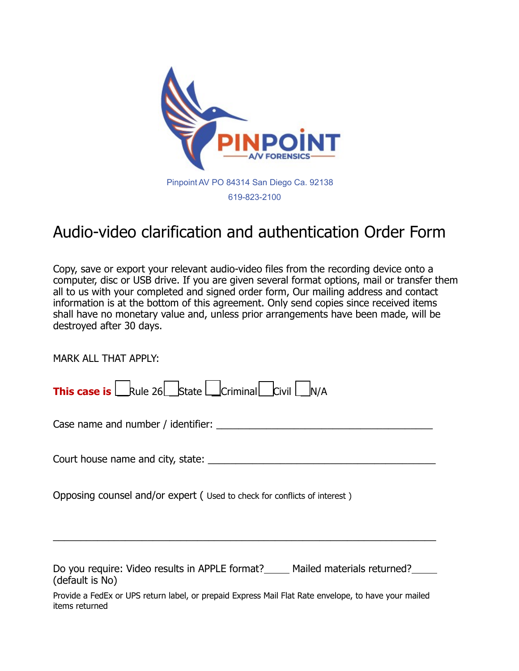

# Audio-video clarification and authentication Order Form

Copy, save or export your relevant audio-video files from the recording device onto a computer, disc or USB drive. If you are given several format options, mail or transfer them all to us with your completed and signed order form, Our mailing address and contact information is at the bottom of this agreement. Only send copies since received items shall have no monetary value and, unless prior arrangements have been made, will be destroyed after 30 days.

MARK ALL THAT APPLY:

| <b>This case is</b> $\Box$ Rule 26 $\Box$ State $\Box$ Criminal $\Box$ Civil $\Box$ N/A |  |  |  |
|-----------------------------------------------------------------------------------------|--|--|--|
|-----------------------------------------------------------------------------------------|--|--|--|

Case name and number / identifier: \_\_\_\_\_\_\_\_\_\_\_\_\_\_\_\_\_\_\_\_\_\_\_\_\_\_\_\_\_\_\_\_\_\_\_\_\_\_\_

Court house name and city, state: \_\_\_\_\_\_\_\_\_\_\_\_\_\_\_\_\_\_\_\_\_\_\_\_\_\_\_\_\_\_\_\_\_\_\_\_\_\_\_\_\_

Opposing counsel and/or expert ( Used to check for conflicts of interest )

Do you require: Video results in APPLE format? Mailed materials returned? (default is No)

\_\_\_\_\_\_\_\_\_\_\_\_\_\_\_\_\_\_\_\_\_\_\_\_\_\_\_\_\_\_\_\_\_\_\_\_\_\_\_\_\_\_\_\_\_\_\_\_\_\_\_\_\_\_\_\_\_\_\_\_\_\_\_\_\_\_\_\_\_

Provide a FedEx or UPS return label, or prepaid Express Mail Flat Rate envelope, to have your mailed items returned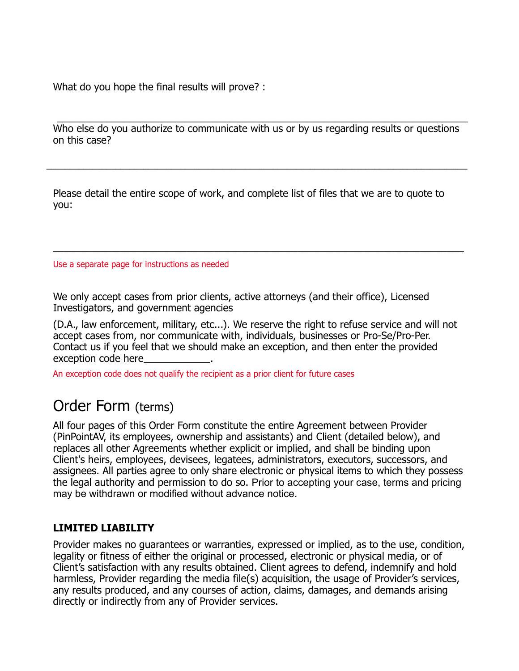What do you hope the final results will prove? :

Who else do you authorize to communicate with us or by us regarding results or questions on this case? \_\_\_\_\_\_\_\_\_\_\_\_\_\_\_\_\_\_\_\_\_\_\_\_\_\_\_\_\_\_\_\_\_\_\_\_\_\_\_\_\_\_\_\_\_\_\_\_\_\_\_\_\_\_\_\_\_\_\_\_\_\_\_\_\_\_\_\_\_\_\_\_\_\_

\_\_\_\_\_\_\_\_\_\_\_\_\_\_\_\_\_\_\_\_\_\_\_\_\_\_\_\_\_\_\_\_\_\_\_\_\_\_\_\_\_\_\_\_\_\_\_\_\_\_\_\_\_\_\_\_\_\_\_\_\_\_\_\_\_\_\_\_\_\_\_\_\_\_\_\_\_\_\_\_\_\_\_\_\_\_\_\_\_\_\_

\_\_\_\_\_\_\_\_\_\_\_\_\_\_\_\_\_\_\_\_\_\_\_\_\_\_\_\_\_\_\_\_\_\_\_\_\_\_\_\_\_\_\_\_\_\_\_\_\_\_\_\_\_\_\_\_\_\_\_\_\_\_\_\_\_\_\_\_\_\_\_\_\_\_

Please detail the entire scope of work, and complete list of files that we are to quote to you:

Use a separate page for instructions as needed

We only accept cases from prior clients, active attorneys (and their office), Licensed Investigators, and government agencies

(D.A., law enforcement, military, etc...). We reserve the right to refuse service and will not accept cases from, nor communicate with, individuals, businesses or Pro-Se/Pro-Per. Contact us if you feel that we should make an exception, and then enter the provided exception code here

An exception code does not qualify the recipient as a prior client for future cases

## Order Form (terms)

All four pages of this Order Form constitute the entire Agreement between Provider (PinPointAV, its employees, ownership and assistants) and Client (detailed below), and replaces all other Agreements whether explicit or implied, and shall be binding upon Client's heirs, employees, devisees, legatees, administrators, executors, successors, and assignees. All parties agree to only share electronic or physical items to which they possess the legal authority and permission to do so. Prior to accepting your case, terms and pricing may be withdrawn or modified without advance notice.

### **LIMITED LIABILITY**

Provider makes no guarantees or warranties, expressed or implied, as to the use, condition, legality or fitness of either the original or processed, electronic or physical media, or of Client's satisfaction with any results obtained. Client agrees to defend, indemnify and hold harmless, Provider regarding the media file(s) acquisition, the usage of Provider's services, any results produced, and any courses of action, claims, damages, and demands arising directly or indirectly from any of Provider services.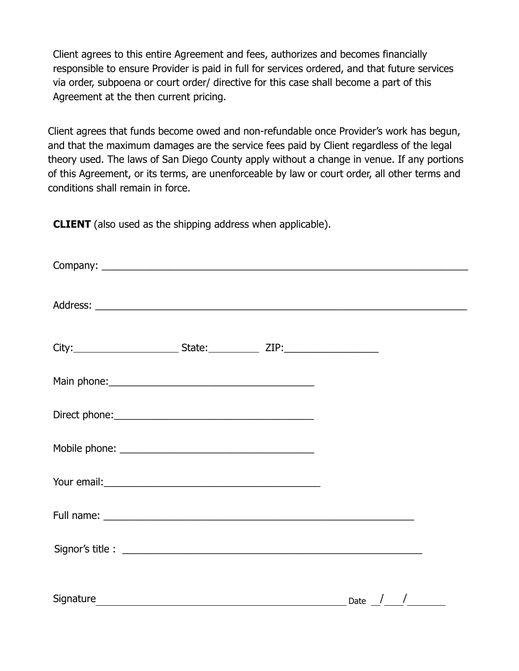Client agrees to this entire Agreement and fees, authorizes and becomes financially responsible to ensure Provider is paid in full for services ordered, and that future services via order, subpoena or court order/ directive for this case shall become a part of this Agreement at the then current pricing.

Client agrees that funds become owed and non-refundable once Provider's work has begun, and that the maximum damages are the service fees paid by Client regardless of the legal theory used. The laws of San Diego County apply without a change in venue. If any portions of this Agreement, or its terms, are unenforceable by law or court order, all other terms and conditions shall remain in force.

**CLIENT** (also used as the shipping address when applicable).